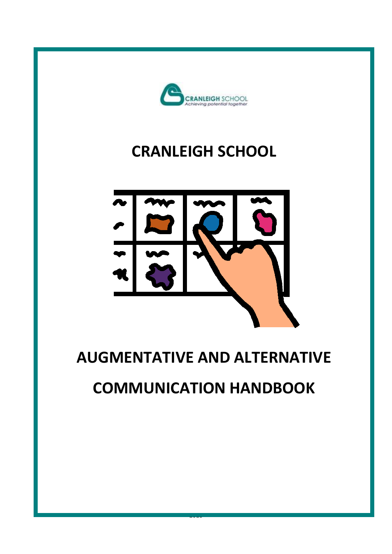

## **CRANLEIGH SCHOOL**



## **AUGMENTATIVE AND ALTERNATIVE**

# **COMMUNICATION HANDBOOK**

2018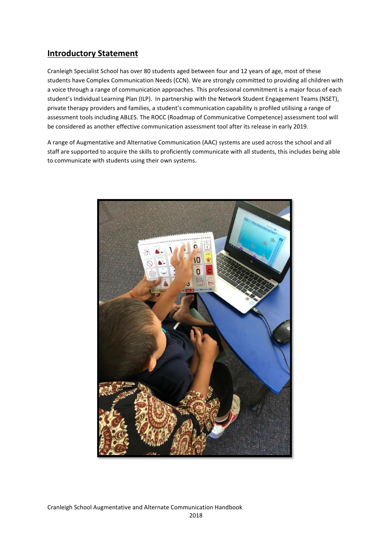## **Introductory Statement**

Cranleigh Specialist School has over 80 students aged between four and 12 years of age, most of these students have Complex Communication Needs (CCN). We are strongly committed to providing all children with a voice through a range of communication approaches. This professional commitment is a major focus of each student's Individual Learning Plan (ILP). In partnership with the Network Student Engagement Teams (NSET), private therapy providers and families, a student's communication capability is profiled utilising a range of assessment tools including ABLES. The ROCC (Roadmap of Communicative Competence) assessment tool will be considered as another effective communication assessment tool after its release in early 2019.

A range of Augmentative and Alternative Communication (AAC) systems are used across the school and all staff are supported to acquire the skills to proficiently communicate with all students, this includes being able to communicate with students using their own systems.



Cranleigh School Augmentative and Alternate Communication Handbook 2018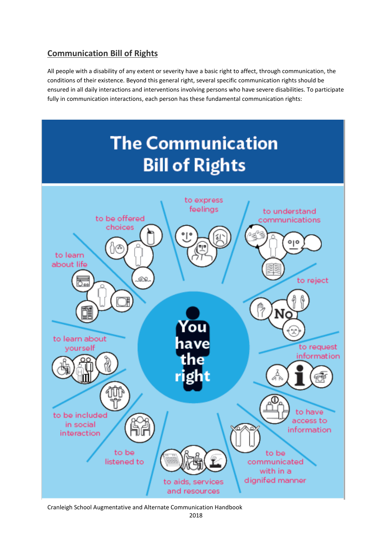## **Communication Bill of Rights**

All people with a disability of any extent or severity have a basic right to affect, through communication, the conditions of their existence. Beyond this general right, several specific communication rights should be ensured in all daily interactions and interventions involving persons who have severe disabilities. To participate fully in communication interactions, each person has these fundamental communication rights:



Cranleigh School Augmentative and Alternate Communication Handbook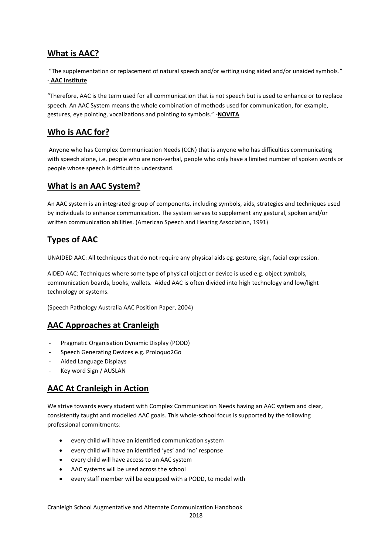## **What is AAC?**

"The supplementation or replacement of natural speech and/or writing using aided and/or unaided symbols." - **AAC Institute**

"Therefore, AAC is the term used for all communication that is not speech but is used to enhance or to replace speech. An AAC System means the whole combination of methods used for communication, for example, gestures, eye pointing, vocalizations and pointing to symbols." -**NOVITA**

## **Who is AAC for?**

Anyone who has Complex Communication Needs (CCN) that is anyone who has difficulties communicating with speech alone, i.e. people who are non-verbal, people who only have a limited number of spoken words or people whose speech is difficult to understand.

### **What is an AAC System?**

An AAC system is an integrated group of components, including symbols, aids, strategies and techniques used by individuals to enhance communication. The system serves to supplement any gestural, spoken and/or written communication abilities. (American Speech and Hearing Association, 1991)

## **Types of AAC**

UNAIDED AAC: All techniques that do not require any physical aids eg. gesture, sign, facial expression.

AIDED AAC: Techniques where some type of physical object or device is used e.g. object symbols, communication boards, books, wallets. Aided AAC is often divided into high technology and low/light technology or systems.

(Speech Pathology Australia AAC Position Paper, 2004)

## **AAC Approaches at Cranleigh**

- Pragmatic Organisation Dynamic Display (PODD)
- Speech Generating Devices e.g. Proloquo2Go
- Aided Language Displays
- Key word Sign / AUSLAN

## **AAC At Cranleigh in Action**

We strive towards every student with Complex Communication Needs having an AAC system and clear, consistently taught and modelled AAC goals. This whole-school focus is supported by the following professional commitments:

- every child will have an identified communication system
- every child will have an identified 'yes' and 'no' response
- every child will have access to an AAC system
- AAC systems will be used across the school
- every staff member will be equipped with a PODD, to model with

Cranleigh School Augmentative and Alternate Communication Handbook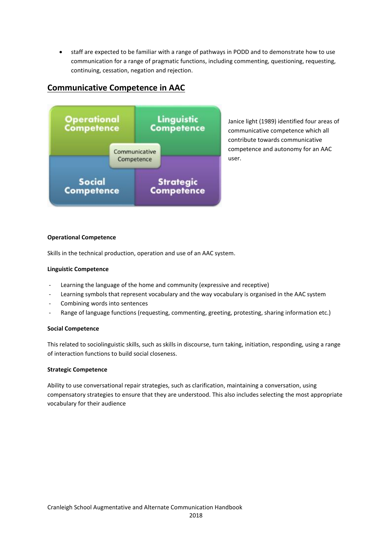• staff are expected to be familiar with a range of pathways in PODD and to demonstrate how to use communication for a range of pragmatic functions, including commenting, questioning, requesting, continuing, cessation, negation and rejection.

## **Communicative Competence in AAC**



Janice light (1989) identified four areas of communicative competence which all contribute towards communicative competence and autonomy for an AAC user.

#### **Operational Competence**

Skills in the technical production, operation and use of an AAC system.

#### **Linguistic Competence**

- Learning the language of the home and community (expressive and receptive)
- Learning symbols that represent vocabulary and the way vocabulary is organised in the AAC system
- Combining words into sentences
- Range of language functions (requesting, commenting, greeting, protesting, sharing information etc.)

#### **Social Competence**

This related to sociolinguistic skills, such as skills in discourse, turn taking, initiation, responding, using a range of interaction functions to build social closeness.

#### **Strategic Competence**

Ability to use conversational repair strategies, such as clarification, maintaining a conversation, using compensatory strategies to ensure that they are understood. This also includes selecting the most appropriate vocabulary for their audience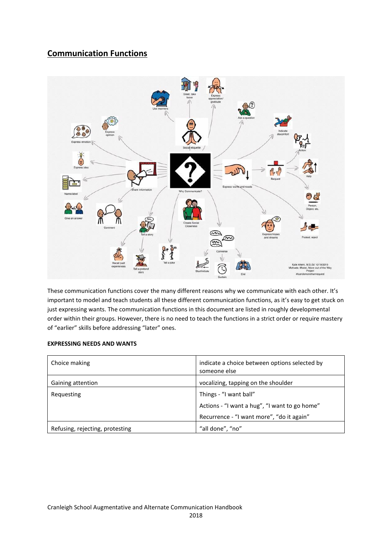## **Communication Functions**



These communication functions cover the many different reasons why we communicate with each other. It's important to model and teach students all these different communication functions, as it's easy to get stuck on just expressing wants. The communication functions in this document are listed in roughly developmental order within their groups. However, there is no need to teach the functions in a strict order or require mastery of "earlier" skills before addressing "later" ones.

#### **EXPRESSING NEEDS AND WANTS**

| Choice making                   | indicate a choice between options selected by<br>someone else |
|---------------------------------|---------------------------------------------------------------|
| Gaining attention               | vocalizing, tapping on the shoulder                           |
| Requesting                      | Things - "I want ball"                                        |
|                                 | Actions - "I want a hug", "I want to go home"                 |
|                                 | Recurrence - "I want more", "do it again"                     |
| Refusing, rejecting, protesting | "all done", "no"                                              |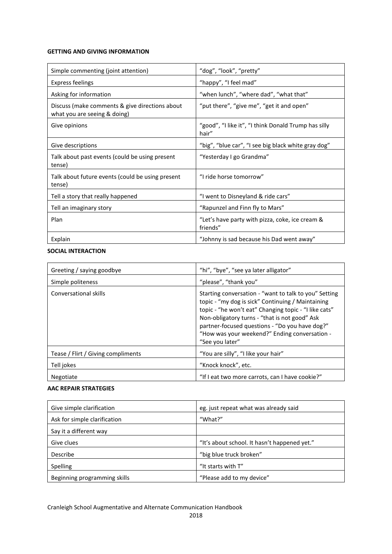#### **GETTING AND GIVING INFORMATION**

| Simple commenting (joint attention)                                            | "dog", "look", "pretty"                                       |
|--------------------------------------------------------------------------------|---------------------------------------------------------------|
| <b>Express feelings</b>                                                        | "happy", "I feel mad"                                         |
| Asking for information                                                         | "when lunch", "where dad", "what that"                        |
| Discuss (make comments & give directions about<br>what you are seeing & doing) | "put there", "give me", "get it and open"                     |
| Give opinions                                                                  | "good", "I like it", "I think Donald Trump has silly<br>hair" |
| Give descriptions                                                              | "big", "blue car", "I see big black white gray dog"           |
| Talk about past events (could be using present<br>tense)                       | "Yesterday I go Grandma"                                      |
| Talk about future events (could be using present<br>tense)                     | "I ride horse tomorrow"                                       |
| Tell a story that really happened                                              | "I went to Disneyland & ride cars"                            |
| Tell an imaginary story                                                        | "Rapunzel and Finn fly to Mars"                               |
| Plan                                                                           | "Let's have party with pizza, coke, ice cream &<br>friends"   |
| Explain                                                                        | "Johnny is sad because his Dad went away"                     |

#### **SOCIAL INTERACTION**

| Greeting / saying goodbye          | "hi", "bye", "see ya later alligator"                                                                                                                                                                                                                                                                                                      |
|------------------------------------|--------------------------------------------------------------------------------------------------------------------------------------------------------------------------------------------------------------------------------------------------------------------------------------------------------------------------------------------|
| Simple politeness                  | "please", "thank you"                                                                                                                                                                                                                                                                                                                      |
| Conversational skills              | Starting conversation - "want to talk to you" Setting<br>topic - "my dog is sick" Continuing / Maintaining<br>topic - "he won't eat" Changing topic - "I like cats"<br>Non-obligatory turns - "that is not good" Ask<br>partner-focused questions - "Do you have dog?"<br>"How was your weekend?" Ending conversation -<br>"See you later" |
| Tease / Flirt / Giving compliments | "You are silly", "I like your hair"                                                                                                                                                                                                                                                                                                        |
| Tell jokes                         | "Knock knock", etc.                                                                                                                                                                                                                                                                                                                        |
| Negotiate                          | "If I eat two more carrots, can I have cookie?"                                                                                                                                                                                                                                                                                            |

#### **AAC REPAIR STRATEGIES**

| Give simple clarification    | eg. just repeat what was already said        |
|------------------------------|----------------------------------------------|
| Ask for simple clarification | "What?"                                      |
| Say it a different way       |                                              |
| Give clues                   | "It's about school. It hasn't happened yet." |
| Describe                     | "big blue truck broken"                      |
| Spelling                     | "It starts with T"                           |
| Beginning programming skills | "Please add to my device"                    |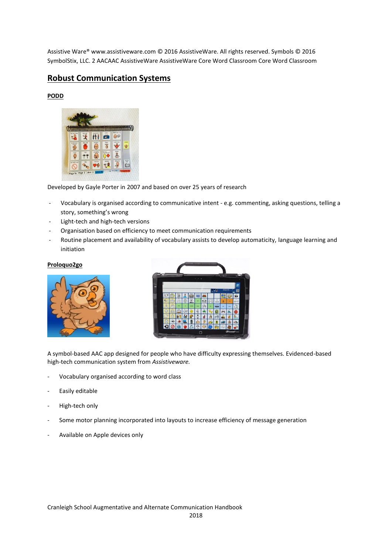Assistive Ware® www.assistiveware.com © 2016 AssistiveWare. All rights reserved. Symbols © 2016 SymbolStix, LLC. 2 AACAAC AssistiveWare AssistiveWare Core Word Classroom Core Word Classroom

### **Robust Communication Systems**

#### **PODD**



Developed by Gayle Porter in 2007 and based on over 25 years of research

- Vocabulary is organised according to communicative intent e.g. commenting, asking questions, telling a story, something's wrong
- Light-tech and high-tech versions
- Organisation based on efficiency to meet communication requirements
- Routine placement and availability of vocabulary assists to develop automaticity, language learning and initiation

#### **Proloquo2go**





A symbol-based AAC app designed for people who have difficulty expressing themselves. Evidenced-based high-tech communication system from *Assistiveware.*

- Vocabulary organised according to word class
- Easily editable
- High-tech only
- Some motor planning incorporated into layouts to increase efficiency of message generation
- Available on Apple devices only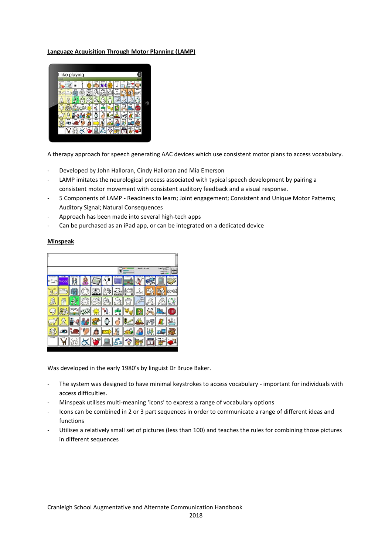#### **Language Acquisition Through Motor Planning (LAMP)**



A therapy approach for speech generating AAC devices which use consistent motor plans to access vocabulary.

- Developed by John Halloran, Cindy Halloran and Mia Emerson
- LAMP imitates the neurological process associated with typical speech development by pairing a consistent motor movement with consistent auditory feedback and a visual response.
- 5 Components of LAMP Readiness to learn; Joint engagement; Consistent and Unique Motor Patterns; Auditory Signal; Natural Consequences
- Approach has been made into several high-tech apps
- Can be purchased as an iPad app, or can be integrated on a dedicated device

#### **Minspeak**



Was developed in the early 1980's by linguist Dr Bruce Baker.

- The system was designed to have minimal keystrokes to access vocabulary important for individuals with access difficulties.
- Minspeak utilises multi-meaning 'icons' to express a range of vocabulary options
- Icons can be combined in 2 or 3 part sequences in order to communicate a range of different ideas and functions
- Utilises a relatively small set of pictures (less than 100) and teaches the rules for combining those pictures in different sequences